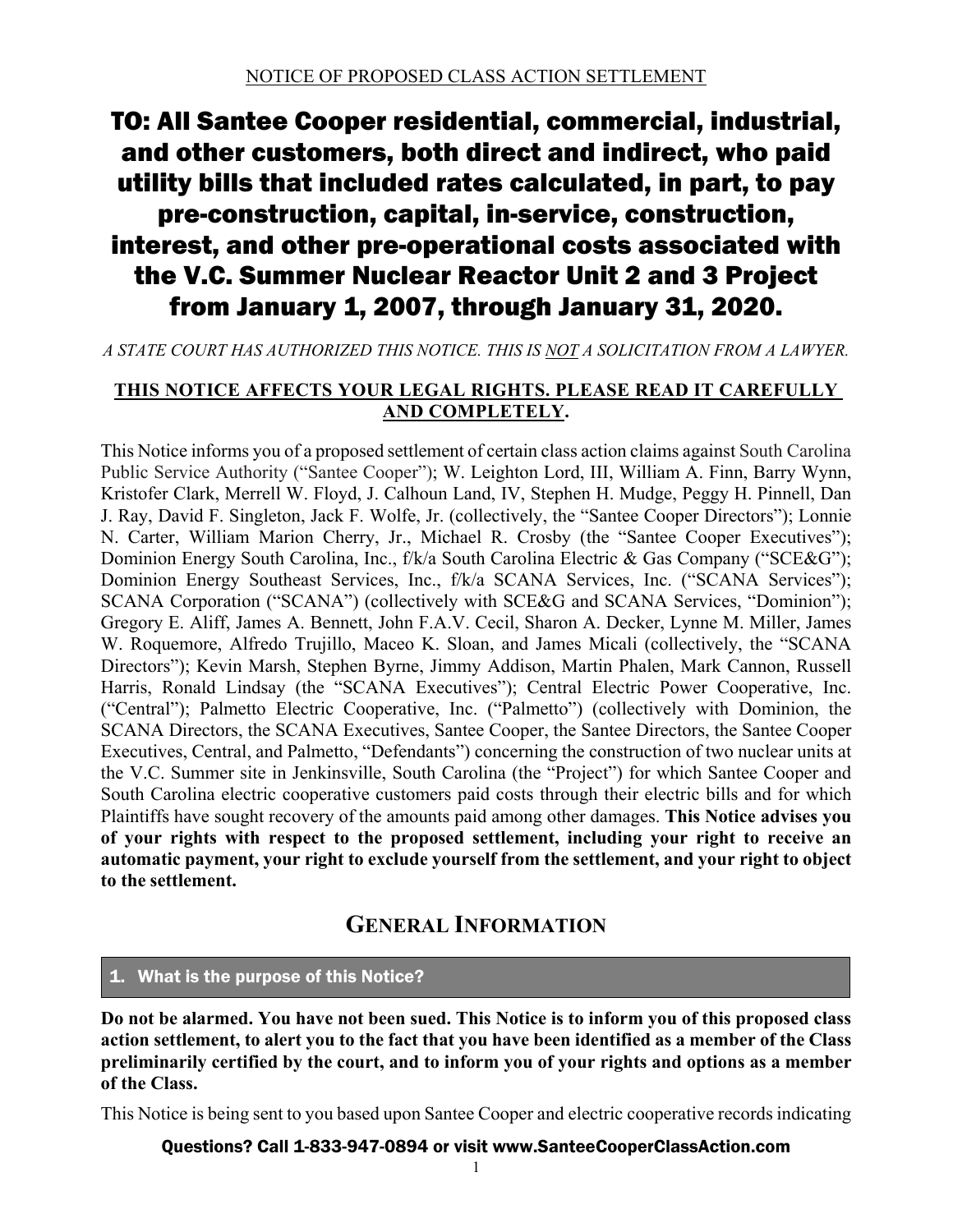# TO: All Santee Cooper residential, commercial, industrial, and other customers, both direct and indirect, who paid utility bills that included rates calculated, in part, to pay pre-construction, capital, in-service, construction, interest, and other pre-operational costs associated with the V.C. Summer Nuclear Reactor Unit 2 and 3 Project from January 1, 2007, through January 31, 2020.

## *A STATE COURT HAS AUTHORIZED THIS NOTICE. THIS IS NOT A SOLICITATION FROM A LAWYER.*

## **THIS NOTICE AFFECTS YOUR LEGAL RIGHTS. PLEASE READ IT CAREFULLY AND COMPLETELY.**

This Notice informs you of a proposed settlement of certain class action claims against South Carolina Public Service Authority ("Santee Cooper"); W. Leighton Lord, III, William A. Finn, Barry Wynn, Kristofer Clark, Merrell W. Floyd, J. Calhoun Land, IV, Stephen H. Mudge, Peggy H. Pinnell, Dan J. Ray, David F. Singleton, Jack F. Wolfe, Jr. (collectively, the "Santee Cooper Directors"); Lonnie N. Carter, William Marion Cherry, Jr., Michael R. Crosby (the "Santee Cooper Executives"); Dominion Energy South Carolina, Inc., f/k/a South Carolina Electric & Gas Company ("SCE&G"); Dominion Energy Southeast Services, Inc., f/k/a SCANA Services, Inc. ("SCANA Services"); SCANA Corporation ("SCANA") (collectively with SCE&G and SCANA Services, "Dominion"); Gregory E. Aliff, James A. Bennett, John F.A.V. Cecil, Sharon A. Decker, Lynne M. Miller, James W. Roquemore, Alfredo Trujillo, Maceo K. Sloan, and James Micali (collectively, the "SCANA Directors"); Kevin Marsh, Stephen Byrne, Jimmy Addison, Martin Phalen, Mark Cannon, Russell Harris, Ronald Lindsay (the "SCANA Executives"); Central Electric Power Cooperative, Inc. ("Central"); Palmetto Electric Cooperative, Inc. ("Palmetto") (collectively with Dominion, the SCANA Directors, the SCANA Executives, Santee Cooper, the Santee Directors, the Santee Cooper Executives, Central, and Palmetto, "Defendants") concerning the construction of two nuclear units at the V.C. Summer site in Jenkinsville, South Carolina (the "Project") for which Santee Cooper and South Carolina electric cooperative customers paid costs through their electric bills and for which Plaintiffs have sought recovery of the amounts paid among other damages. **This Notice advises you of your rights with respect to the proposed settlement, including your right to receive an automatic payment, your right to exclude yourself from the settlement, and your right to object to the settlement.** 

## **GENERAL INFORMATION**

#### 1. What is the purpose of this Notice?

**Do not be alarmed. You have not been sued. This Notice is to inform you of this proposed class action settlement, to alert you to the fact that you have been identified as a member of the Class preliminarily certified by the court, and to inform you of your rights and options as a member of the Class.**

This Notice is being sent to you based upon Santee Cooper and electric cooperative records indicating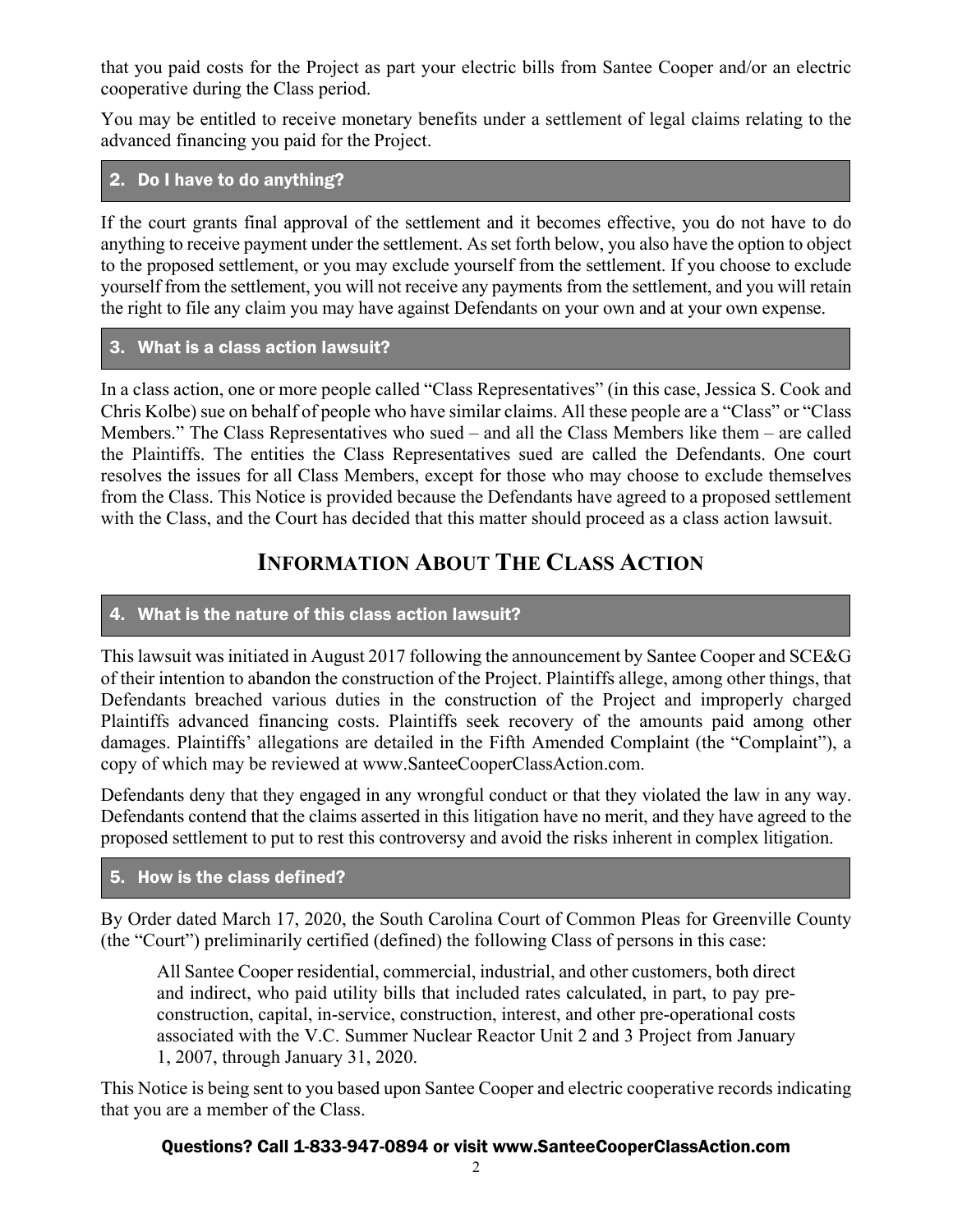that you paid costs for the Project as part your electric bills from Santee Cooper and/or an electric cooperative during the Class period.

You may be entitled to receive monetary benefits under a settlement of legal claims relating to the advanced financing you paid for the Project.

## 2. Do I have to do anything?

If the court grants final approval of the settlement and it becomes effective, you do not have to do anything to receive payment under the settlement. As set forth below, you also have the option to object to the proposed settlement, or you may exclude yourself from the settlement. If you choose to exclude yourself from the settlement, you will not receive any payments from the settlement, and you will retain the right to file any claim you may have against Defendants on your own and at your own expense.

#### 3. What is a class action lawsuit?

In a class action, one or more people called "Class Representatives" (in this case, Jessica S. Cook and Chris Kolbe) sue on behalf of people who have similar claims. All these people are a "Class" or "Class Members." The Class Representatives who sued – and all the Class Members like them – are called the Plaintiffs. The entities the Class Representatives sued are called the Defendants. One court resolves the issues for all Class Members, except for those who may choose to exclude themselves from the Class. This Notice is provided because the Defendants have agreed to a proposed settlement with the Class, and the Court has decided that this matter should proceed as a class action lawsuit.

## **INFORMATION ABOUT THE CLASS ACTION**

## 4. What is the nature of this class action lawsuit?

This lawsuit was initiated in August 2017 following the announcement by Santee Cooper and SCE&G of their intention to abandon the construction of the Project. Plaintiffs allege, among other things, that Defendants breached various duties in the construction of the Project and improperly charged Plaintiffs advanced financing costs. Plaintiffs seek recovery of the amounts paid among other damages. Plaintiffs' allegations are detailed in the Fifth Amended Complaint (the "Complaint"), a copy of which may be reviewed at www.SanteeCooperClassAction.com.

Defendants deny that they engaged in any wrongful conduct or that they violated the law in any way. Defendants contend that the claims asserted in this litigation have no merit, and they have agreed to the proposed settlement to put to rest this controversy and avoid the risks inherent in complex litigation.

#### 5. How is the class defined?

By Order dated March 17, 2020, the South Carolina Court of Common Pleas for Greenville County (the "Court") preliminarily certified (defined) the following Class of persons in this case:

All Santee Cooper residential, commercial, industrial, and other customers, both direct and indirect, who paid utility bills that included rates calculated, in part, to pay preconstruction, capital, in-service, construction, interest, and other pre-operational costs associated with the V.C. Summer Nuclear Reactor Unit 2 and 3 Project from January 1, 2007, through January 31, 2020.

This Notice is being sent to you based upon Santee Cooper and electric cooperative records indicating that you are a member of the Class.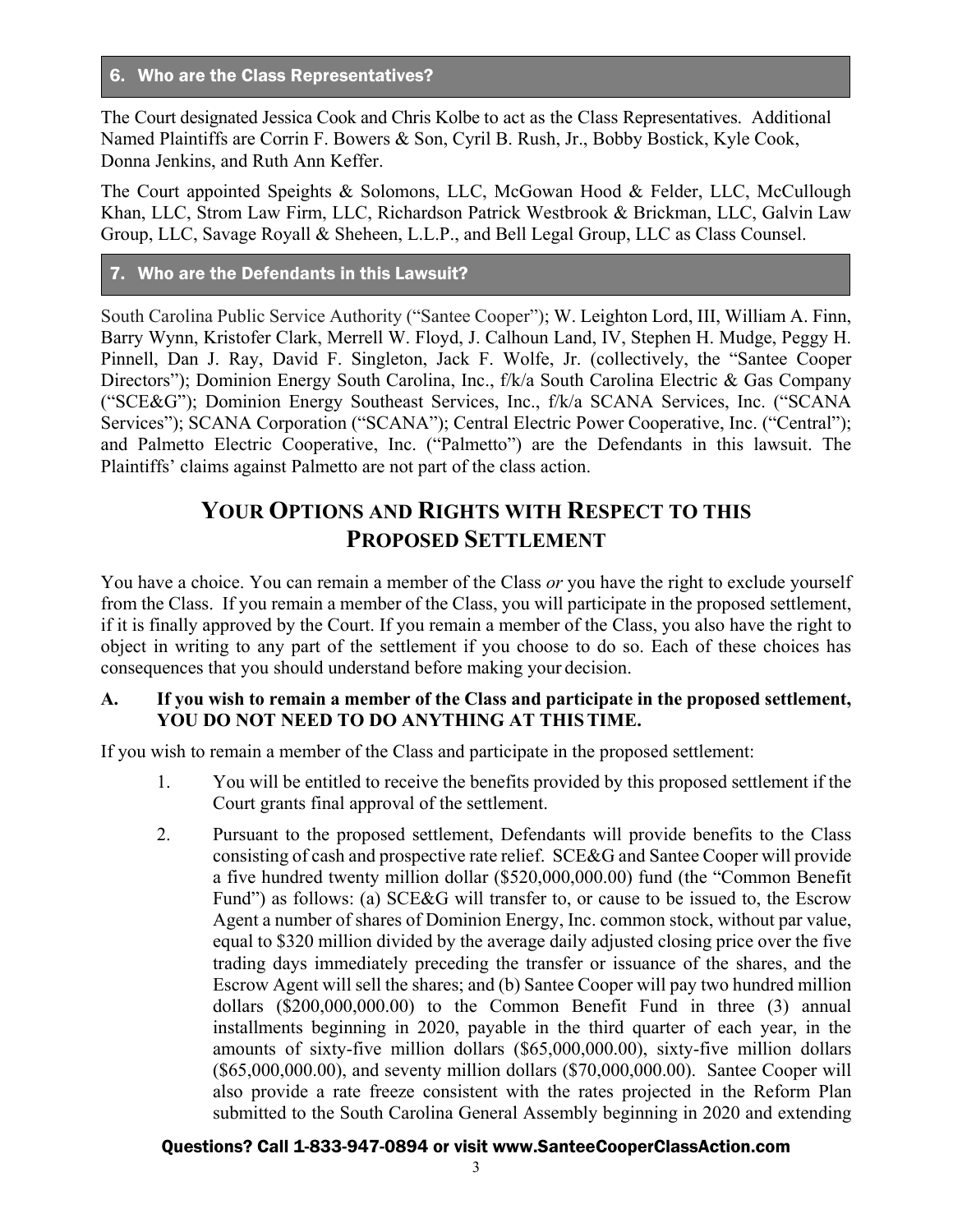#### 6. Who are the Class Representatives?

The Court designated Jessica Cook and Chris Kolbe to act as the Class Representatives. Additional Named Plaintiffs are Corrin F. Bowers & Son, Cyril B. Rush, Jr., Bobby Bostick, Kyle Cook, Donna Jenkins, and Ruth Ann Keffer.

The Court appointed Speights & Solomons, LLC, McGowan Hood & Felder, LLC, McCullough Khan, LLC, Strom Law Firm, LLC, Richardson Patrick Westbrook & Brickman, LLC, Galvin Law Group, LLC, Savage Royall & Sheheen, L.L.P., and Bell Legal Group, LLC as Class Counsel.

## 7. Who are the Defendants in this Lawsuit?

South Carolina Public Service Authority ("Santee Cooper"); W. Leighton Lord, III, William A. Finn, Barry Wynn, Kristofer Clark, Merrell W. Floyd, J. Calhoun Land, IV, Stephen H. Mudge, Peggy H. Pinnell, Dan J. Ray, David F. Singleton, Jack F. Wolfe, Jr. (collectively, the "Santee Cooper Directors"); Dominion Energy South Carolina, Inc., f/k/a South Carolina Electric & Gas Company ("SCE&G"); Dominion Energy Southeast Services, Inc., f/k/a SCANA Services, Inc. ("SCANA Services"); SCANA Corporation ("SCANA"); Central Electric Power Cooperative, Inc. ("Central"); and Palmetto Electric Cooperative, Inc. ("Palmetto") are the Defendants in this lawsuit. The Plaintiffs' claims against Palmetto are not part of the class action.

## **YOUR OPTIONS AND RIGHTS WITH RESPECT TO THIS PROPOSED SETTLEMENT**

You have a choice. You can remain a member of the Class *or* you have the right to exclude yourself from the Class. If you remain a member of the Class, you will participate in the proposed settlement, if it is finally approved by the Court. If you remain a member of the Class, you also have the right to object in writing to any part of the settlement if you choose to do so. Each of these choices has consequences that you should understand before making your decision.

#### **A. If you wish to remain a member of the Class and participate in the proposed settlement, YOU DO NOT NEED TO DO ANYTHING AT THIS TIME.**

If you wish to remain a member of the Class and participate in the proposed settlement:

- 1. You will be entitled to receive the benefits provided by this proposed settlement if the Court grants final approval of the settlement.
- 2. Pursuant to the proposed settlement, Defendants will provide benefits to the Class consisting of cash and prospective rate relief. SCE&G and Santee Cooper will provide a five hundred twenty million dollar (\$520,000,000.00) fund (the "Common Benefit Fund") as follows: (a) SCE&G will transfer to, or cause to be issued to, the Escrow Agent a number of shares of Dominion Energy, Inc. common stock, without par value, equal to \$320 million divided by the average daily adjusted closing price over the five trading days immediately preceding the transfer or issuance of the shares, and the Escrow Agent will sell the shares; and (b) Santee Cooper will pay two hundred million dollars (\$200,000,000.00) to the Common Benefit Fund in three (3) annual installments beginning in 2020, payable in the third quarter of each year, in the amounts of sixty-five million dollars (\$65,000,000.00), sixty-five million dollars (\$65,000,000.00), and seventy million dollars (\$70,000,000.00). Santee Cooper will also provide a rate freeze consistent with the rates projected in the Reform Plan submitted to the South Carolina General Assembly beginning in 2020 and extending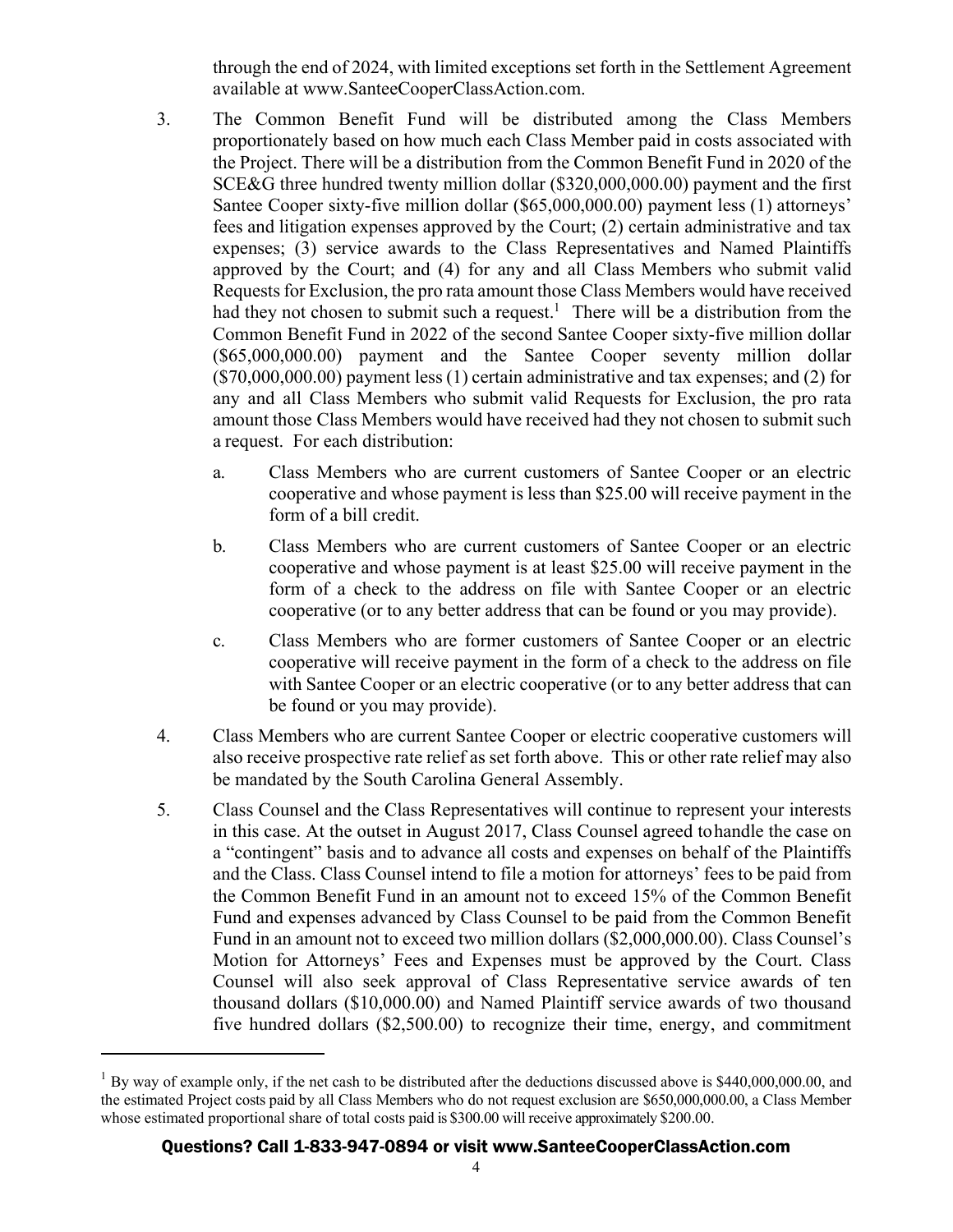through the end of 2024, with limited exceptions set forth in the Settlement Agreement available at www.SanteeCooperClassAction.com.

- 3. The Common Benefit Fund will be distributed among the Class Members proportionately based on how much each Class Member paid in costs associated with the Project. There will be a distribution from the Common Benefit Fund in 2020 of the SCE&G three hundred twenty million dollar (\$320,000,000.00) payment and the first Santee Cooper sixty-five million dollar (\$65,000,000.00) payment less (1) attorneys' fees and litigation expenses approved by the Court; (2) certain administrative and tax expenses; (3) service awards to the Class Representatives and Named Plaintiffs approved by the Court; and (4) for any and all Class Members who submit valid Requests for Exclusion, the pro rata amount those Class Members would have received had they not chosen to submit such a request.<sup>1</sup> There will be a distribution from the Common Benefit Fund in 2022 of the second Santee Cooper sixty-five million dollar (\$65,000,000.00) payment and the Santee Cooper seventy million dollar (\$70,000,000.00) payment less (1) certain administrative and tax expenses; and (2) for any and all Class Members who submit valid Requests for Exclusion, the pro rata amount those Class Members would have received had they not chosen to submit such a request. For each distribution:
	- a. Class Members who are current customers of Santee Cooper or an electric cooperative and whose payment is less than \$25.00 will receive payment in the form of a bill credit.
	- b. Class Members who are current customers of Santee Cooper or an electric cooperative and whose payment is at least \$25.00 will receive payment in the form of a check to the address on file with Santee Cooper or an electric cooperative (or to any better address that can be found or you may provide).
	- c. Class Members who are former customers of Santee Cooper or an electric cooperative will receive payment in the form of a check to the address on file with Santee Cooper or an electric cooperative (or to any better address that can be found or you may provide).
- 4. Class Members who are current Santee Cooper or electric cooperative customers will also receive prospective rate relief as set forth above. This or other rate relief may also be mandated by the South Carolina General Assembly.
- 5. Class Counsel and the Class Representatives will continue to represent your interests in this case. At the outset in August 2017, Class Counsel agreed to handle the case on a "contingent" basis and to advance all costs and expenses on behalf of the Plaintiffs and the Class. Class Counsel intend to file a motion for attorneys' fees to be paid from the Common Benefit Fund in an amount not to exceed 15% of the Common Benefit Fund and expenses advanced by Class Counsel to be paid from the Common Benefit Fund in an amount not to exceed two million dollars (\$2,000,000.00). Class Counsel's Motion for Attorneys' Fees and Expenses must be approved by the Court. Class Counsel will also seek approval of Class Representative service awards of ten thousand dollars (\$10,000.00) and Named Plaintiff service awards of two thousand five hundred dollars (\$2,500.00) to recognize their time, energy, and commitment

 $1$  By way of example only, if the net cash to be distributed after the deductions discussed above is \$440,000,000.00, and the estimated Project costs paid by all Class Members who do not request exclusion are \$650,000,000.00, a Class Member whose estimated proportional share of total costs paid is \$300.00 will receive approximately \$200.00.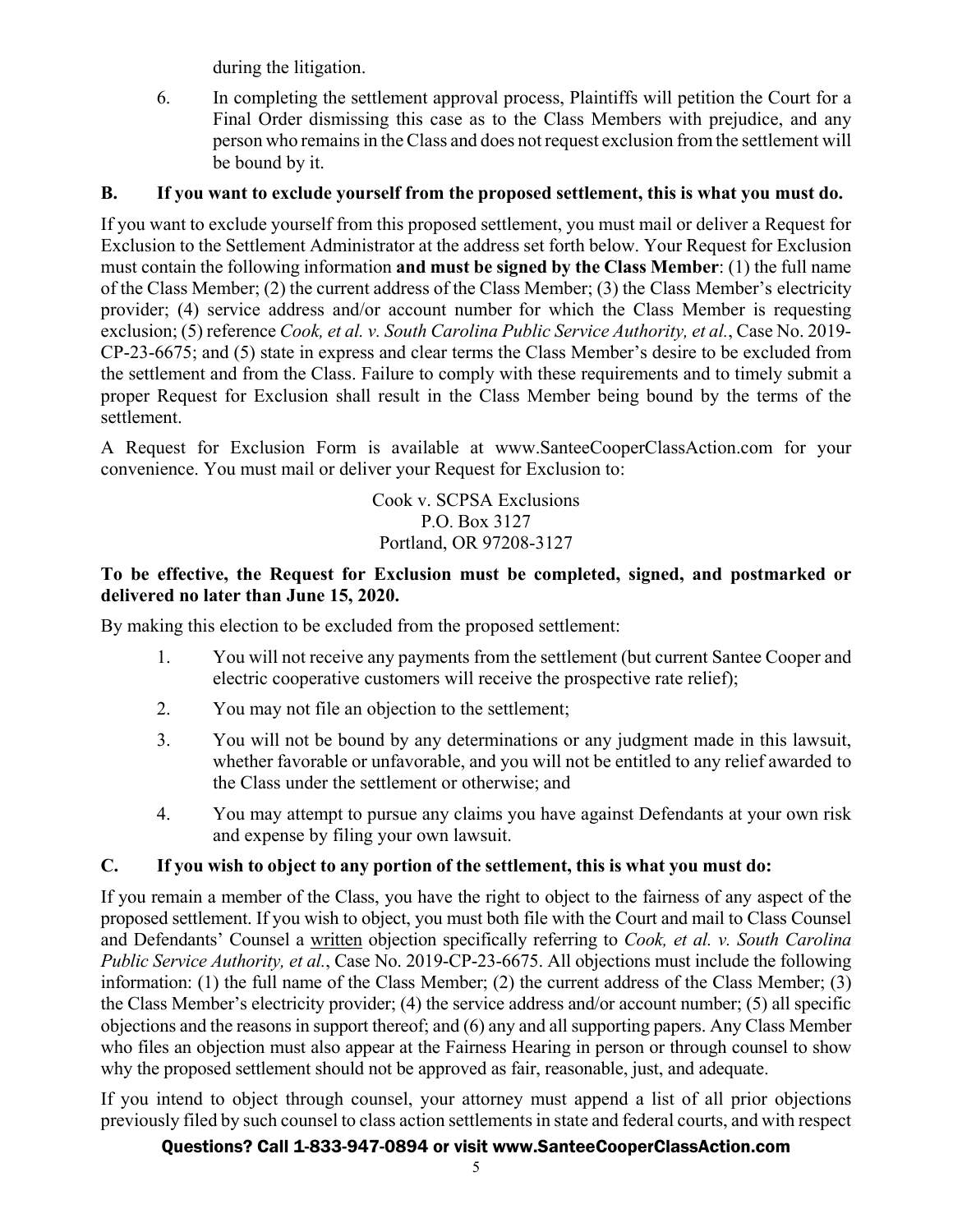during the litigation.

6. In completing the settlement approval process, Plaintiffs will petition the Court for a Final Order dismissing this case as to the Class Members with prejudice, and any person who remains in the Class and does not request exclusion from the settlement will be bound by it.

## **B. If you want to exclude yourself from the proposed settlement, this is what you must do.**

If you want to exclude yourself from this proposed settlement, you must mail or deliver a Request for Exclusion to the Settlement Administrator at the address set forth below. Your Request for Exclusion must contain the following information **and must be signed by the Class Member**: (1) the full name of the Class Member; (2) the current address of the Class Member; (3) the Class Member's electricity provider; (4) service address and/or account number for which the Class Member is requesting exclusion; (5) reference *Cook, et al. v. South Carolina Public Service Authority, et al.*, Case No. 2019- CP-23-6675; and (5) state in express and clear terms the Class Member's desire to be excluded from the settlement and from the Class. Failure to comply with these requirements and to timely submit a proper Request for Exclusion shall result in the Class Member being bound by the terms of the settlement.

A Request for Exclusion Form is available at www.SanteeCooperClassAction.com for your convenience. You must mail or deliver your Request for Exclusion to:

> Cook v. SCPSA Exclusions P.O. Box 3127 Portland, OR 97208-3127

## **To be effective, the Request for Exclusion must be completed, signed, and postmarked or delivered no later than June 15, 2020.**

By making this election to be excluded from the proposed settlement:

- 1. You will not receive any payments from the settlement (but current Santee Cooper and electric cooperative customers will receive the prospective rate relief);
- 2. You may not file an objection to the settlement;
- 3. You will not be bound by any determinations or any judgment made in this lawsuit, whether favorable or unfavorable, and you will not be entitled to any relief awarded to the Class under the settlement or otherwise; and
- 4. You may attempt to pursue any claims you have against Defendants at your own risk and expense by filing your own lawsuit.

#### **C. If you wish to object to any portion of the settlement, this is what you must do:**

If you remain a member of the Class, you have the right to object to the fairness of any aspect of the proposed settlement. If you wish to object, you must both file with the Court and mail to Class Counsel and Defendants' Counsel a written objection specifically referring to *Cook, et al. v. South Carolina Public Service Authority, et al.*, Case No. 2019-CP-23-6675. All objections must include the following information: (1) the full name of the Class Member; (2) the current address of the Class Member; (3) the Class Member's electricity provider; (4) the service address and/or account number; (5) all specific objections and the reasons in support thereof; and (6) any and all supporting papers. Any Class Member who files an objection must also appear at the Fairness Hearing in person or through counsel to show why the proposed settlement should not be approved as fair, reasonable, just, and adequate.

If you intend to object through counsel, your attorney must append a list of all prior objections previously filed by such counsel to class action settlements in state and federal courts, and with respect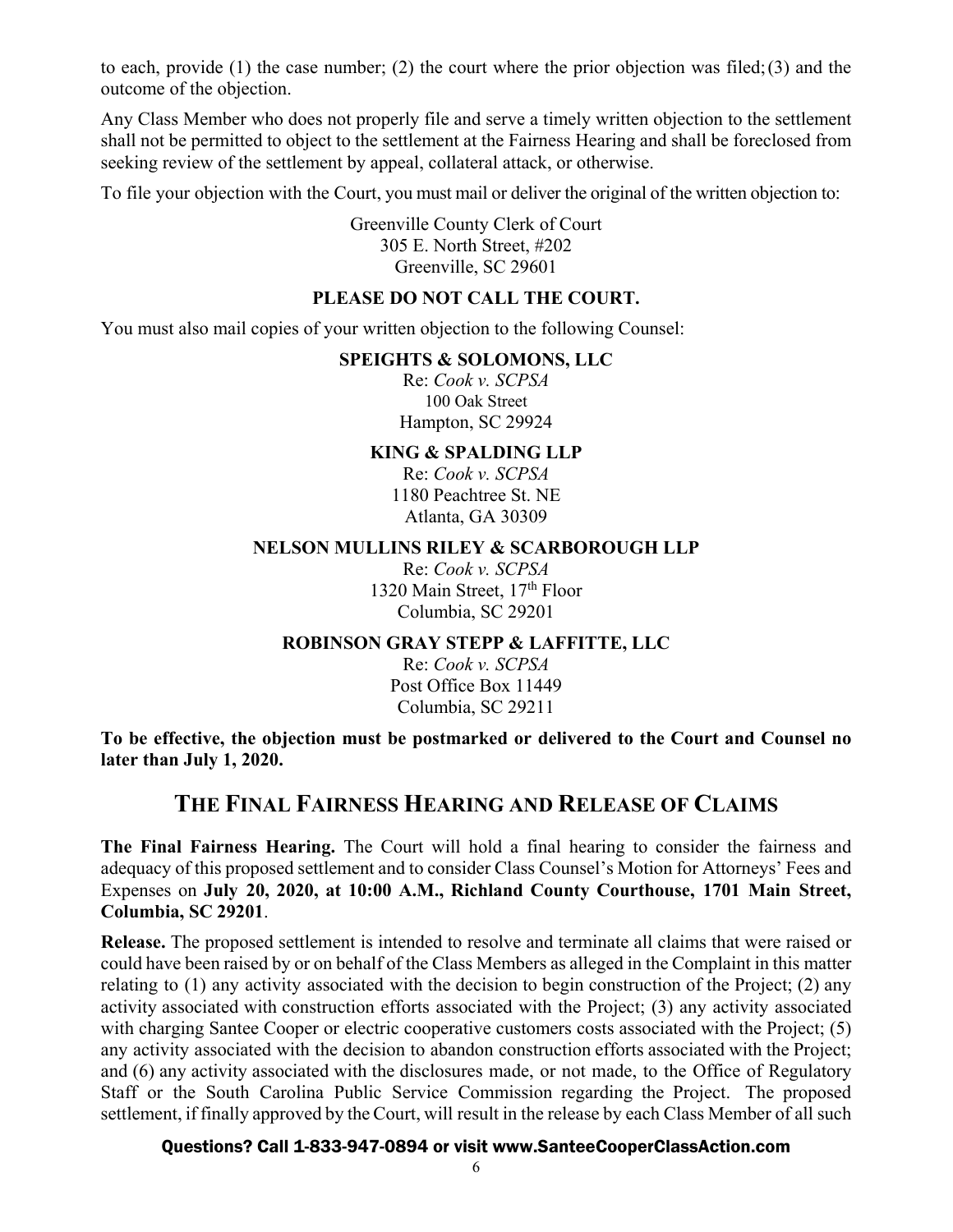to each, provide (1) the case number; (2) the court where the prior objection was filed; (3) and the outcome of the objection.

Any Class Member who does not properly file and serve a timely written objection to the settlement shall not be permitted to object to the settlement at the Fairness Hearing and shall be foreclosed from seeking review of the settlement by appeal, collateral attack, or otherwise.

To file your objection with the Court, you must mail or deliver the original of the written objection to:

Greenville County Clerk of Court 305 E. North Street, #202 Greenville, SC 29601

#### **PLEASE DO NOT CALL THE COURT.**

You must also mail copies of your written objection to the following Counsel:

#### **SPEIGHTS & SOLOMONS, LLC**

Re: *Cook v. SCPSA*  100 Oak Street Hampton, SC 29924

#### **KING & SPALDING LLP**

Re: *Cook v. SCPSA*  1180 Peachtree St. NE Atlanta, GA 30309

#### **NELSON MULLINS RILEY & SCARBOROUGH LLP**

Re: *Cook v. SCPSA* 1320 Main Street, 17<sup>th</sup> Floor Columbia, SC 29201

#### **ROBINSON GRAY STEPP & LAFFITTE, LLC**

Re: *Cook v. SCPSA* Post Office Box 11449 Columbia, SC 29211

**To be effective, the objection must be postmarked or delivered to the Court and Counsel no later than July 1, 2020.**

## **THE FINAL FAIRNESS HEARING AND RELEASE OF CLAIMS**

**The Final Fairness Hearing.** The Court will hold a final hearing to consider the fairness and adequacy of this proposed settlement and to consider Class Counsel's Motion for Attorneys' Fees and Expenses on **July 20, 2020, at 10:00 A.M., Richland County Courthouse, 1701 Main Street, Columbia, SC 29201**.

**Release.** The proposed settlement is intended to resolve and terminate all claims that were raised or could have been raised by or on behalf of the Class Members as alleged in the Complaint in this matter relating to (1) any activity associated with the decision to begin construction of the Project; (2) any activity associated with construction efforts associated with the Project; (3) any activity associated with charging Santee Cooper or electric cooperative customers costs associated with the Project; (5) any activity associated with the decision to abandon construction efforts associated with the Project; and (6) any activity associated with the disclosures made, or not made, to the Office of Regulatory Staff or the South Carolina Public Service Commission regarding the Project. The proposed settlement, if finally approved by the Court, will result in the release by each Class Member of all such